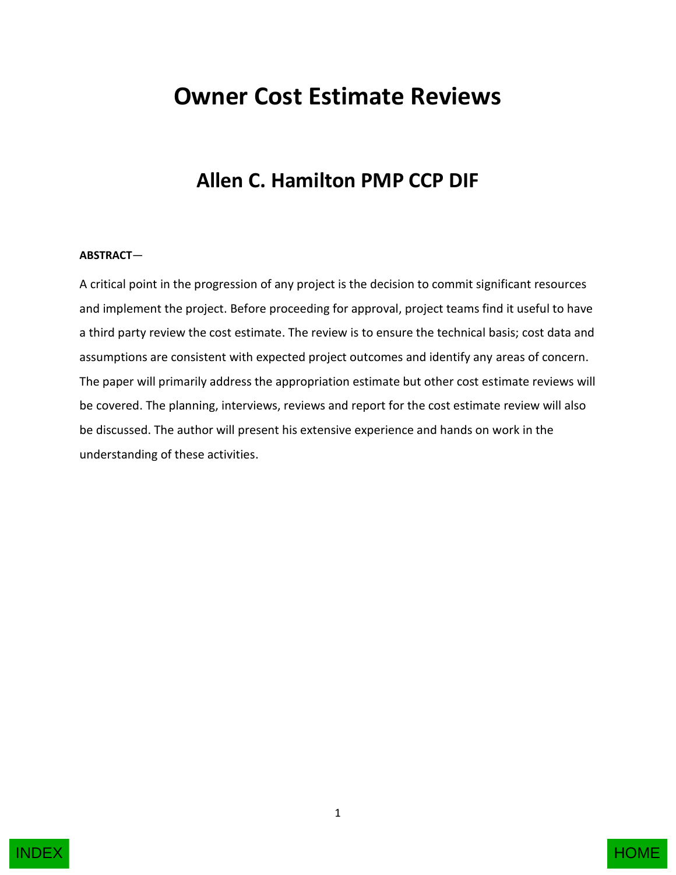# **Owner Cost Estimate Reviews**

## **Allen C. Hamilton PMP CCP DIF**

#### **ABSTRACT**—

A critical point in the progression of any project is the decision to commit significant resources and implement the project. Before proceeding for approval, project teams find it useful to have a third party review the cost estimate. The review is to ensure the technical basis; cost data and assumptions are consistent with expected project outcomes and identify any areas of concern. The paper will primarily address the appropriation estimate but other cost estimate reviews will be covered. The planning, interviews, reviews and report for the cost estimate review will also be discussed. The author will present his extensive experience and hands on work in the understanding of these activities.

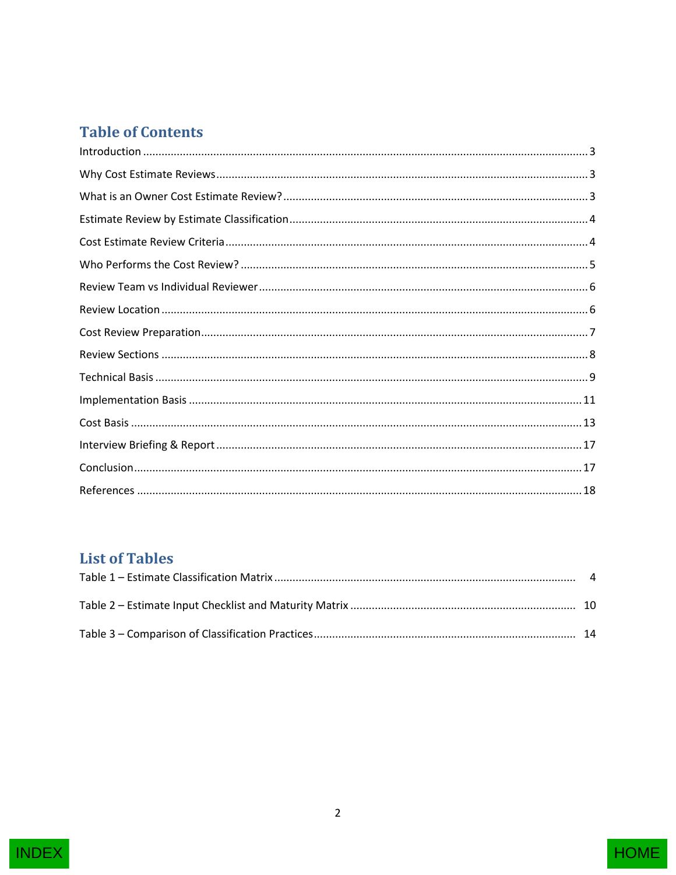## **Table of Contents**

## **List of Tables**

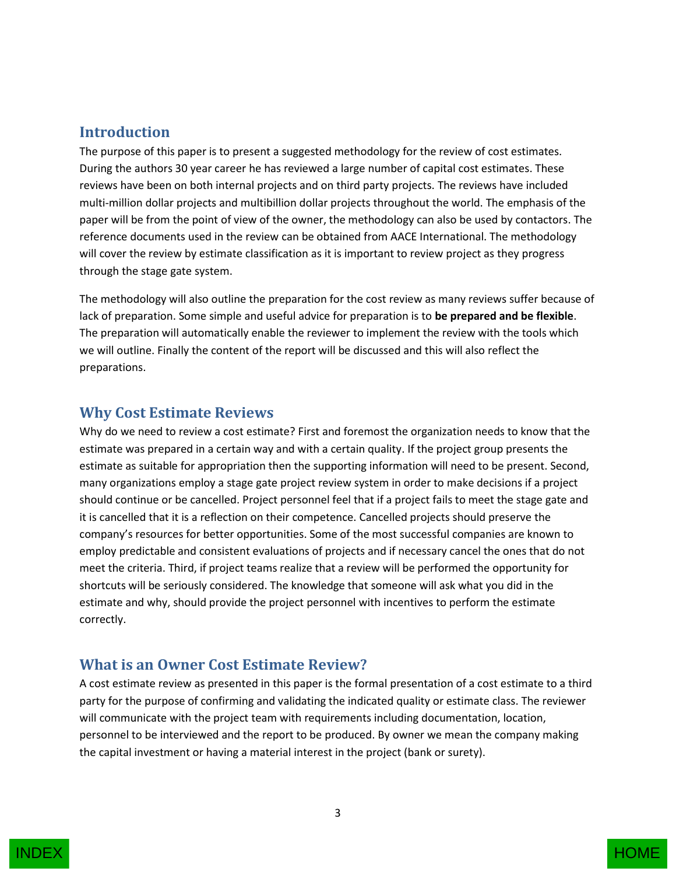#### <span id="page-2-0"></span>**Introduction**

The purpose of this paper is to present a suggested methodology for the review of cost estimates. During the authors 30 year career he has reviewed a large number of capital cost estimates. These reviews have been on both internal projects and on third party projects. The reviews have included multi-million dollar projects and multibillion dollar projects throughout the world. The emphasis of the paper will be from the point of view of the owner, the methodology can also be used by contactors. The reference documents used in the review can be obtained from AACE International. The methodology will cover the review by estimate classification as it is important to review project as they progress through the stage gate system.

The methodology will also outline the preparation for the cost review as many reviews suffer because of lack of preparation. Some simple and useful advice for preparation is to **be prepared and be flexible**. The preparation will automatically enable the reviewer to implement the review with the tools which we will outline. Finally the content of the report will be discussed and this will also reflect the preparations.

#### <span id="page-2-1"></span>**Why Cost Estimate Reviews**

Why do we need to review a cost estimate? First and foremost the organization needs to know that the estimate was prepared in a certain way and with a certain quality. If the project group presents the estimate as suitable for appropriation then the supporting information will need to be present. Second, many organizations employ a stage gate project review system in order to make decisions if a project should continue or be cancelled. Project personnel feel that if a project fails to meet the stage gate and it is cancelled that it is a reflection on their competence. Cancelled projects should preserve the company's resources for better opportunities. Some of the most successful companies are known to employ predictable and consistent evaluations of projects and if necessary cancel the ones that do not meet the criteria. Third, if project teams realize that a review will be performed the opportunity for shortcuts will be seriously considered. The knowledge that someone will ask what you did in the estimate and why, should provide the project personnel with incentives to perform the estimate correctly.

#### <span id="page-2-2"></span>**What is an Owner Cost Estimate Review?**

A cost estimate review as presented in this paper is the formal presentation of a cost estimate to a third party for the purpose of confirming and validating the indicated quality or estimate class. The reviewer will communicate with the project team with requirements including documentation, location, personnel to be interviewed and the report to be produced. By owner we mean the company making the capital investment or having a material interest in the project (bank or surety).

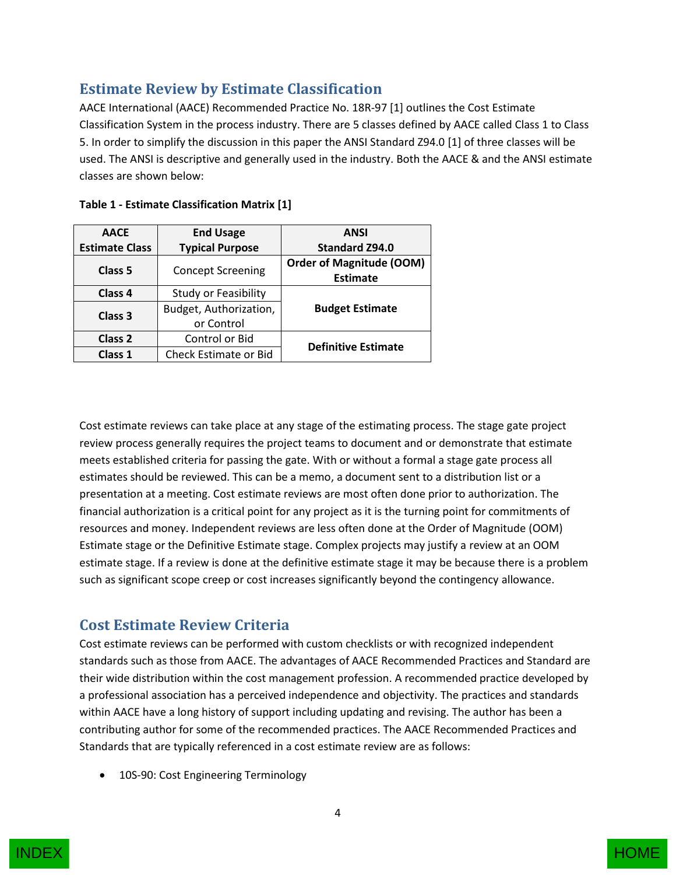## <span id="page-3-0"></span>**Estimate Review by Estimate Classification**

AACE International (AACE) Recommended Practice No. 18R-97 [1] outlines the Cost Estimate Classification System in the process industry. There are 5 classes defined by AACE called Class 1 to Class 5. In order to simplify the discussion in this paper the ANSI Standard Z94.0 [1] of three classes will be used. The ANSI is descriptive and generally used in the industry. Both the AACE & and the ANSI estimate classes are shown below:

| <b>AACE</b>                         | <b>End Usage</b>             | <b>ANSI</b>                                        |  |
|-------------------------------------|------------------------------|----------------------------------------------------|--|
| <b>Estimate Class</b>               | <b>Typical Purpose</b>       | <b>Standard Z94.0</b>                              |  |
| <b>Concept Screening</b><br>Class 5 |                              | <b>Order of Magnitude (OOM)</b><br><b>Estimate</b> |  |
| Class 4                             | <b>Study or Feasibility</b>  |                                                    |  |
| Class 3                             | Budget, Authorization,       | <b>Budget Estimate</b>                             |  |
|                                     | or Control                   |                                                    |  |
| Class 2                             | Control or Bid               | <b>Definitive Estimate</b>                         |  |
| Class 1                             | <b>Check Estimate or Bid</b> |                                                    |  |

| Table 1 - Estimate Classification Matrix [1] |  |  |  |  |  |  |
|----------------------------------------------|--|--|--|--|--|--|
|----------------------------------------------|--|--|--|--|--|--|

Cost estimate reviews can take place at any stage of the estimating process. The stage gate project review process generally requires the project teams to document and or demonstrate that estimate meets established criteria for passing the gate. With or without a formal a stage gate process all estimates should be reviewed. This can be a memo, a document sent to a distribution list or a presentation at a meeting. Cost estimate reviews are most often done prior to authorization. The financial authorization is a critical point for any project as it is the turning point for commitments of resources and money. Independent reviews are less often done at the Order of Magnitude (OOM) Estimate stage or the Definitive Estimate stage. Complex projects may justify a review at an OOM estimate stage. If a review is done at the definitive estimate stage it may be because there is a problem such as significant scope creep or cost increases significantly beyond the contingency allowance.

## <span id="page-3-1"></span>**Cost Estimate Review Criteria**

Cost estimate reviews can be performed with custom checklists or with recognized independent standards such as those from AACE. The advantages of AACE Recommended Practices and Standard are their wide distribution within the cost management profession. A recommended practice developed by a professional association has a perceived independence and objectivity. The practices and standards within AACE have a long history of support including updating and revising. The author has been a contributing author for some of the recommended practices. The AACE Recommended Practices and Standards that are typically referenced in a cost estimate review are as follows:

10S-90: Cost Engineering Terminology



4

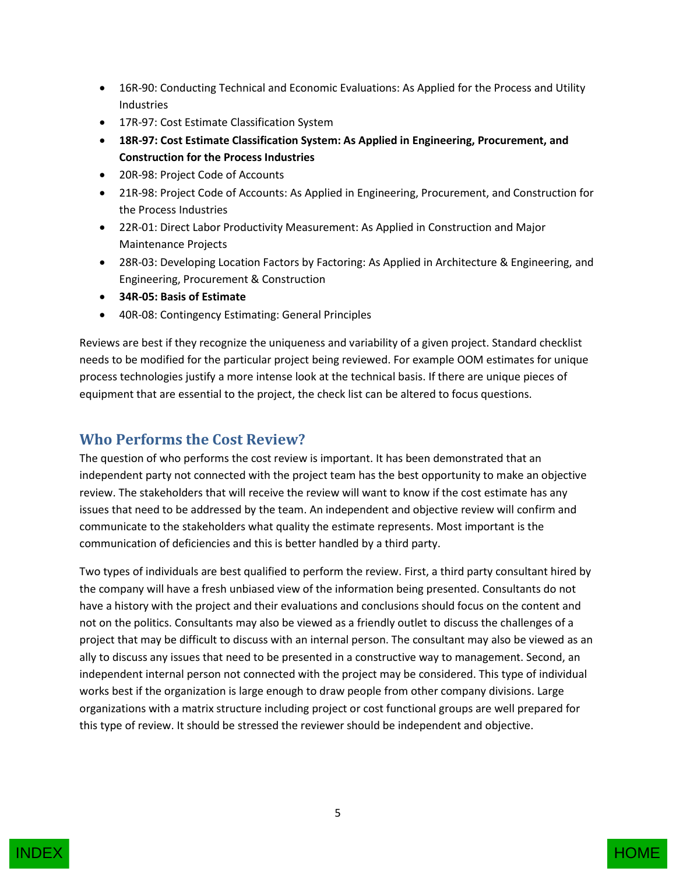- 16R-90: Conducting Technical and Economic Evaluations: As Applied for the Process and Utility Industries
- 17R-97: Cost Estimate Classification System
- **18R-97: Cost Estimate Classification System: As Applied in Engineering, Procurement, and Construction for the Process Industries**
- 20R-98: Project Code of Accounts
- 21R-98: Project Code of Accounts: As Applied in Engineering, Procurement, and Construction for the Process Industries
- 22R-01: Direct Labor Productivity Measurement: As Applied in Construction and Major Maintenance Projects
- 28R-03: Developing Location Factors by Factoring: As Applied in Architecture & Engineering, and Engineering, Procurement & Construction
- **34R-05: Basis of Estimate**
- 40R-08: Contingency Estimating: General Principles

Reviews are best if they recognize the uniqueness and variability of a given project. Standard checklist needs to be modified for the particular project being reviewed. For example OOM estimates for unique process technologies justify a more intense look at the technical basis. If there are unique pieces of equipment that are essential to the project, the check list can be altered to focus questions.

#### <span id="page-4-0"></span>**Who Performs the Cost Review?**

The question of who performs the cost review is important. It has been demonstrated that an independent party not connected with the project team has the best opportunity to make an objective review. The stakeholders that will receive the review will want to know if the cost estimate has any issues that need to be addressed by the team. An independent and objective review will confirm and communicate to the stakeholders what quality the estimate represents. Most important is the communication of deficiencies and this is better handled by a third party.

Two types of individuals are best qualified to perform the review. First, a third party consultant hired by the company will have a fresh unbiased view of the information being presented. Consultants do not have a history with the project and their evaluations and conclusions should focus on the content and not on the politics. Consultants may also be viewed as a friendly outlet to discuss the challenges of a project that may be difficult to discuss with an internal person. The consultant may also be viewed as an ally to discuss any issues that need to be presented in a constructive way to management. Second, an independent internal person not connected with the project may be considered. This type of individual works best if the organization is large enough to draw people from other company divisions. Large organizations with a matrix structure including project or cost functional groups are well prepared for this type of review. It should be stressed the reviewer should be independent and objective.

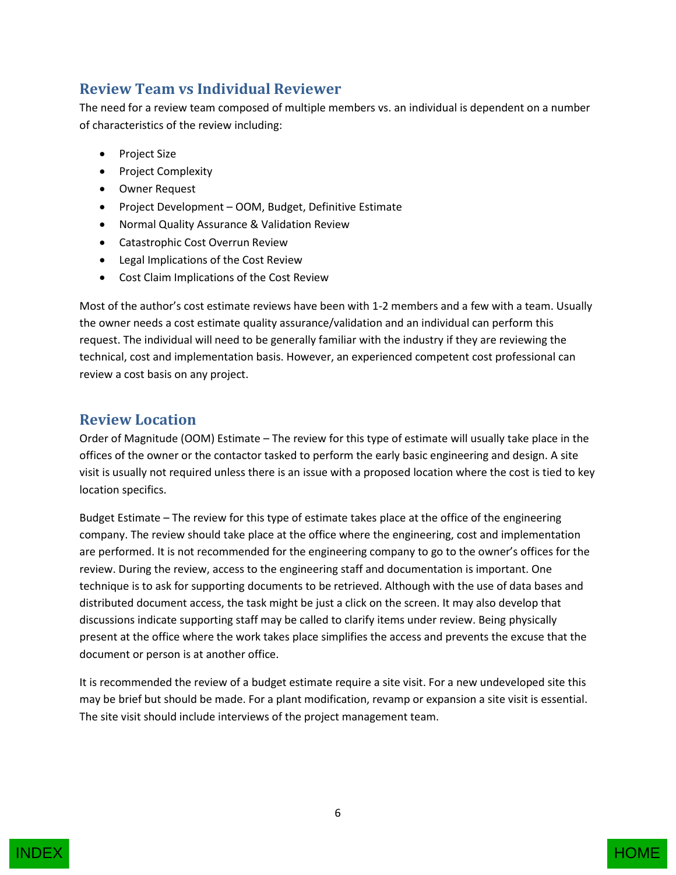#### <span id="page-5-0"></span>**Review Team vs Individual Reviewer**

The need for a review team composed of multiple members vs. an individual is dependent on a number of characteristics of the review including:

- Project Size
- Project Complexity
- Owner Request
- Project Development OOM, Budget, Definitive Estimate
- Normal Quality Assurance & Validation Review
- Catastrophic Cost Overrun Review
- Legal Implications of the Cost Review
- Cost Claim Implications of the Cost Review

Most of the author's cost estimate reviews have been with 1-2 members and a few with a team. Usually the owner needs a cost estimate quality assurance/validation and an individual can perform this request. The individual will need to be generally familiar with the industry if they are reviewing the technical, cost and implementation basis. However, an experienced competent cost professional can review a cost basis on any project.

#### <span id="page-5-1"></span>**Review Location**

Order of Magnitude (OOM) Estimate – The review for this type of estimate will usually take place in the offices of the owner or the contactor tasked to perform the early basic engineering and design. A site visit is usually not required unless there is an issue with a proposed location where the cost is tied to key location specifics.

Budget Estimate – The review for this type of estimate takes place at the office of the engineering company. The review should take place at the office where the engineering, cost and implementation are performed. It is not recommended for the engineering company to go to the owner's offices for the review. During the review, access to the engineering staff and documentation is important. One technique is to ask for supporting documents to be retrieved. Although with the use of data bases and distributed document access, the task might be just a click on the screen. It may also develop that discussions indicate supporting staff may be called to clarify items under review. Being physically present at the office where the work takes place simplifies the access and prevents the excuse that the document or person is at another office.

It is recommended the review of a budget estimate require a site visit. For a new undeveloped site this may be brief but should be made. For a plant modification, revamp or expansion a site visit is essential. The site visit should include interviews of the project management team.

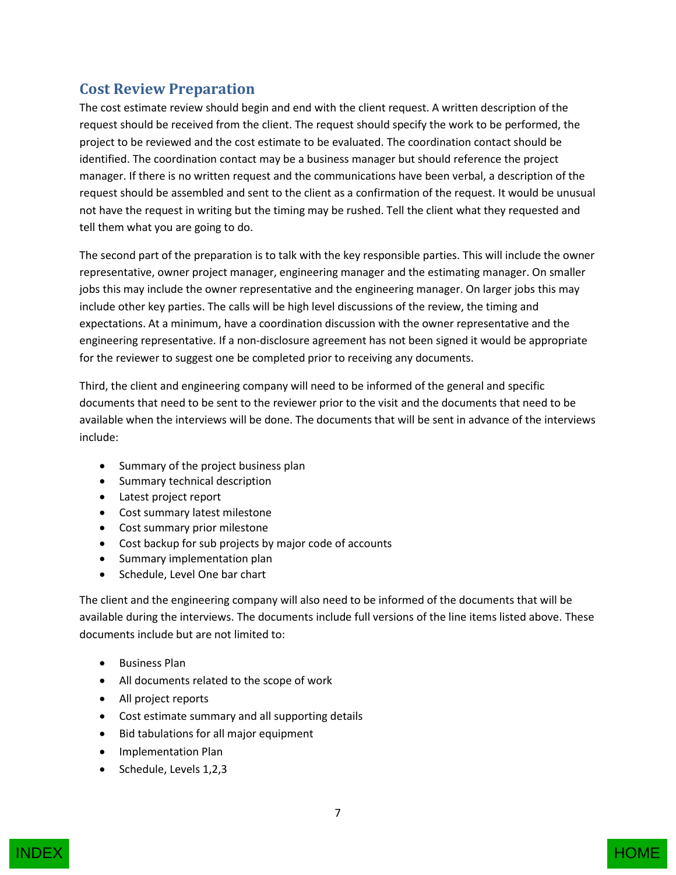### <span id="page-6-0"></span>**Cost Review Preparation**

The cost estimate review should begin and end with the client request. A written description of the request should be received from the client. The request should specify the work to be performed, the project to be reviewed and the cost estimate to be evaluated. The coordination contact should be identified. The coordination contact may be a business manager but should reference the project manager. If there is no written request and the communications have been verbal, a description of the request should be assembled and sent to the client as a confirmation of the request. It would be unusual not have the request in writing but the timing may be rushed. Tell the client what they requested and tell them what you are going to do.

The second part of the preparation is to talk with the key responsible parties. This will include the owner representative, owner project manager, engineering manager and the estimating manager. On smaller jobs this may include the owner representative and the engineering manager. On larger jobs this may include other key parties. The calls will be high level discussions of the review, the timing and expectations. At a minimum, have a coordination discussion with the owner representative and the engineering representative. If a non-disclosure agreement has not been signed it would be appropriate for the reviewer to suggest one be completed prior to receiving any documents.

Third, the client and engineering company will need to be informed of the general and specific documents that need to be sent to the reviewer prior to the visit and the documents that need to be available when the interviews will be done. The documents that will be sent in advance of the interviews include:

- Summary of the project business plan
- Summary technical description
- Latest project report
- Cost summary latest milestone
- Cost summary prior milestone
- Cost backup for sub projects by major code of accounts
- Summary implementation plan
- Schedule, Level One bar chart

The client and the engineering company will also need to be informed of the documents that will be available during the interviews. The documents include full versions of the line items listed above. These documents include but are not limited to:

- **•** Business Plan
- All documents related to the scope of work
- All project reports
- Cost estimate summary and all supporting details
- Bid tabulations for all major equipment
- Implementation Plan
- Schedule, Levels 1,2,3

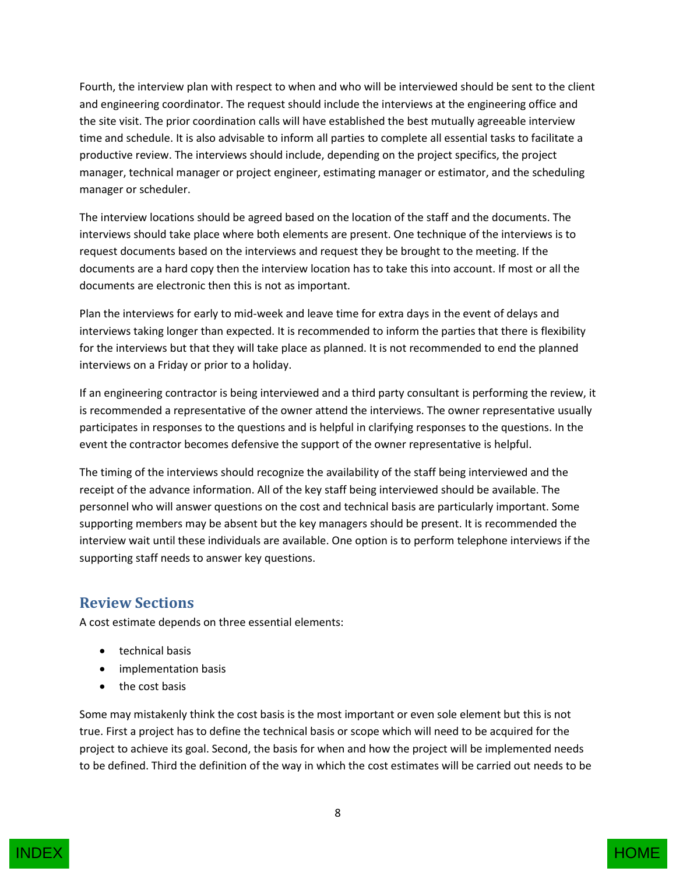Fourth, the interview plan with respect to when and who will be interviewed should be sent to the client and engineering coordinator. The request should include the interviews at the engineering office and the site visit. The prior coordination calls will have established the best mutually agreeable interview time and schedule. It is also advisable to inform all parties to complete all essential tasks to facilitate a productive review. The interviews should include, depending on the project specifics, the project manager, technical manager or project engineer, estimating manager or estimator, and the scheduling manager or scheduler.

The interview locations should be agreed based on the location of the staff and the documents. The interviews should take place where both elements are present. One technique of the interviews is to request documents based on the interviews and request they be brought to the meeting. If the documents are a hard copy then the interview location has to take this into account. If most or all the documents are electronic then this is not as important.

Plan the interviews for early to mid-week and leave time for extra days in the event of delays and interviews taking longer than expected. It is recommended to inform the parties that there is flexibility for the interviews but that they will take place as planned. It is not recommended to end the planned interviews on a Friday or prior to a holiday.

If an engineering contractor is being interviewed and a third party consultant is performing the review, it is recommended a representative of the owner attend the interviews. The owner representative usually participates in responses to the questions and is helpful in clarifying responses to the questions. In the event the contractor becomes defensive the support of the owner representative is helpful.

The timing of the interviews should recognize the availability of the staff being interviewed and the receipt of the advance information. All of the key staff being interviewed should be available. The personnel who will answer questions on the cost and technical basis are particularly important. Some supporting members may be absent but the key managers should be present. It is recommended the interview wait until these individuals are available. One option is to perform telephone interviews if the supporting staff needs to answer key questions.

### <span id="page-7-0"></span>**Review Sections**

A cost estimate depends on three essential elements:

- **•** technical basis
- implementation basis
- the cost basis

Some may mistakenly think the cost basis is the most important or even sole element but this is not true. First a project has to define the technical basis or scope which will need to be acquired for the project to achieve its goal. Second, the basis for when and how the project will be implemented needs to be defined. Third the definition of the way in which the cost estimates will be carried out needs to be

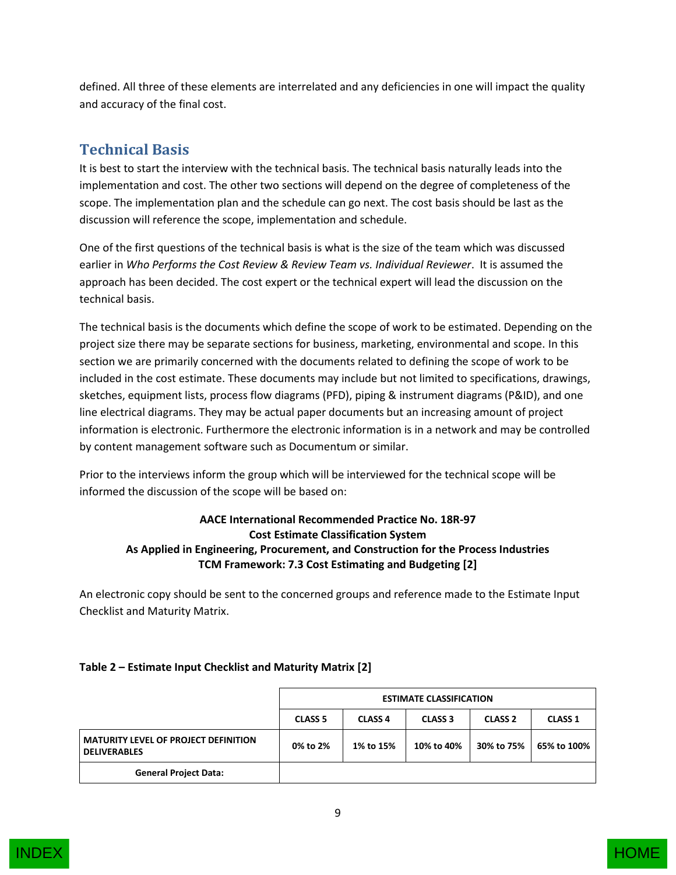defined. All three of these elements are interrelated and any deficiencies in one will impact the quality and accuracy of the final cost.

## <span id="page-8-0"></span>**Technical Basis**

It is best to start the interview with the technical basis. The technical basis naturally leads into the implementation and cost. The other two sections will depend on the degree of completeness of the scope. The implementation plan and the schedule can go next. The cost basis should be last as the discussion will reference the scope, implementation and schedule.

One of the first questions of the technical basis is what is the size of the team which was discussed earlier in *Who Performs the Cost Review & Review Team vs. Individual Reviewer*. It is assumed the approach has been decided. The cost expert or the technical expert will lead the discussion on the technical basis.

The technical basis is the documents which define the scope of work to be estimated. Depending on the project size there may be separate sections for business, marketing, environmental and scope. In this section we are primarily concerned with the documents related to defining the scope of work to be included in the cost estimate. These documents may include but not limited to specifications, drawings, sketches, equipment lists, process flow diagrams (PFD), piping & instrument diagrams (P&ID), and one line electrical diagrams. They may be actual paper documents but an increasing amount of project information is electronic. Furthermore the electronic information is in a network and may be controlled by content management software such as Documentum or similar.

Prior to the interviews inform the group which will be interviewed for the technical scope will be informed the discussion of the scope will be based on:

#### **AACE International Recommended Practice No. 18R-97 Cost Estimate Classification System As Applied in Engineering, Procurement, and Construction for the Process Industries TCM Framework: 7.3 Cost Estimating and Budgeting [2]**

An electronic copy should be sent to the concerned groups and reference made to the Estimate Input Checklist and Maturity Matrix.

|                                                                    | <b>ESTIMATE CLASSIFICATION</b> |                |                |                |                |
|--------------------------------------------------------------------|--------------------------------|----------------|----------------|----------------|----------------|
|                                                                    | <b>CLASS 5</b>                 | <b>CLASS 4</b> | <b>CLASS 3</b> | <b>CLASS 2</b> | <b>CLASS 1</b> |
| <b>MATURITY LEVEL OF PROJECT DEFINITION</b><br><b>DELIVERABLES</b> | 0% to 2%                       | 1% to 15%      | 10% to 40%     | 30% to 75%     | 65% to 100%    |
| <b>General Project Data:</b>                                       |                                |                |                |                |                |

#### **Table 2 – Estimate Input Checklist and Maturity Matrix [2]**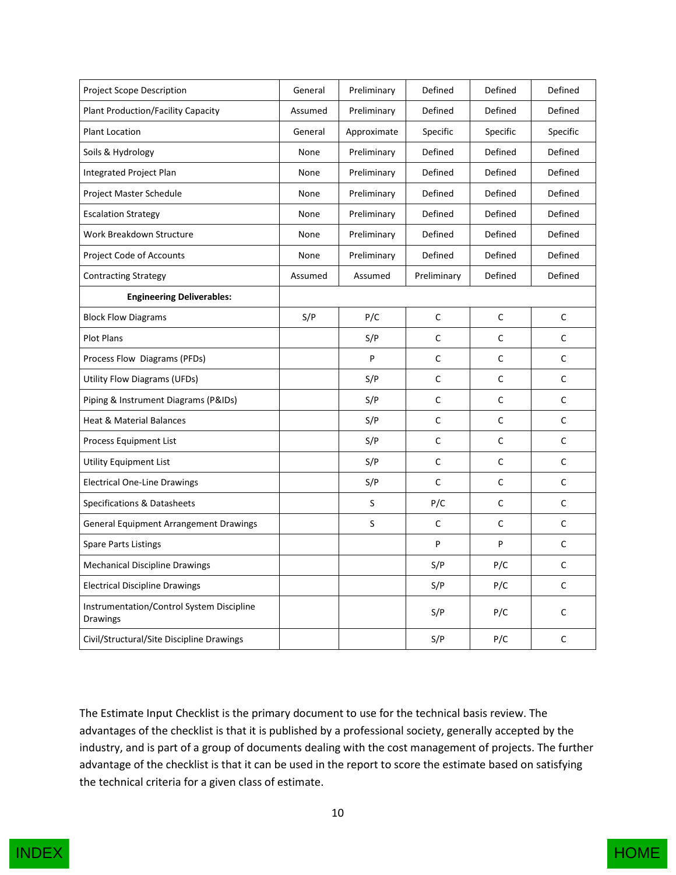| <b>Project Scope Description</b>                      | General | Preliminary | Defined      | Defined     | Defined  |
|-------------------------------------------------------|---------|-------------|--------------|-------------|----------|
| <b>Plant Production/Facility Capacity</b>             | Assumed | Preliminary | Defined      | Defined     | Defined  |
| <b>Plant Location</b>                                 | General | Approximate | Specific     | Specific    | Specific |
| Soils & Hydrology                                     | None    | Preliminary | Defined      | Defined     | Defined  |
| <b>Integrated Project Plan</b>                        | None    | Preliminary | Defined      | Defined     | Defined  |
| Project Master Schedule                               | None    | Preliminary | Defined      | Defined     | Defined  |
| <b>Escalation Strategy</b>                            | None    | Preliminary | Defined      | Defined     | Defined  |
| Work Breakdown Structure                              | None    | Preliminary | Defined      | Defined     | Defined  |
| Project Code of Accounts                              | None    | Preliminary | Defined      | Defined     | Defined  |
| <b>Contracting Strategy</b>                           | Assumed | Assumed     | Preliminary  | Defined     | Defined  |
| <b>Engineering Deliverables:</b>                      |         |             |              |             |          |
| <b>Block Flow Diagrams</b>                            | S/P     | P/C         | $\mathsf C$  | $\mathsf C$ | С        |
| Plot Plans                                            |         | S/P         | C            | C           | С        |
| Process Flow Diagrams (PFDs)                          |         | P           | $\mathsf C$  | $\mathsf C$ | C        |
| <b>Utility Flow Diagrams (UFDs)</b>                   |         | S/P         | $\mathsf C$  | C           | C        |
| Piping & Instrument Diagrams (P&IDs)                  |         | S/P         | C            | C           | C        |
| <b>Heat &amp; Material Balances</b>                   |         | S/P         | $\mathsf C$  | C           | C        |
| Process Equipment List                                |         | S/P         | C            | $\mathsf C$ | C        |
| <b>Utility Equipment List</b>                         |         | S/P         | $\mathsf C$  | C           | C        |
| <b>Electrical One-Line Drawings</b>                   |         | S/P         | $\mathsf{C}$ | C           | C        |
| Specifications & Datasheets                           |         | S           | P/C          | $\mathsf C$ | C        |
| <b>General Equipment Arrangement Drawings</b>         |         | S           | С            | С           | C        |
| <b>Spare Parts Listings</b>                           |         |             | P            | P           | С        |
| <b>Mechanical Discipline Drawings</b>                 |         |             | S/P          | P/C         | C        |
| <b>Electrical Discipline Drawings</b>                 |         |             | S/P          | P/C         | C        |
| Instrumentation/Control System Discipline<br>Drawings |         |             | S/P          | P/C         | C        |
| Civil/Structural/Site Discipline Drawings             |         |             | S/P          | P/C         | C        |

The Estimate Input Checklist is the primary document to use for the technical basis review. The advantages of the checklist is that it is published by a professional society, generally accepted by the industry, and is part of a group of documents dealing with the cost management of projects. The further advantage of the checklist is that it can be used in the report to score the estimate based on satisfying the technical criteria for a given class of estimate.



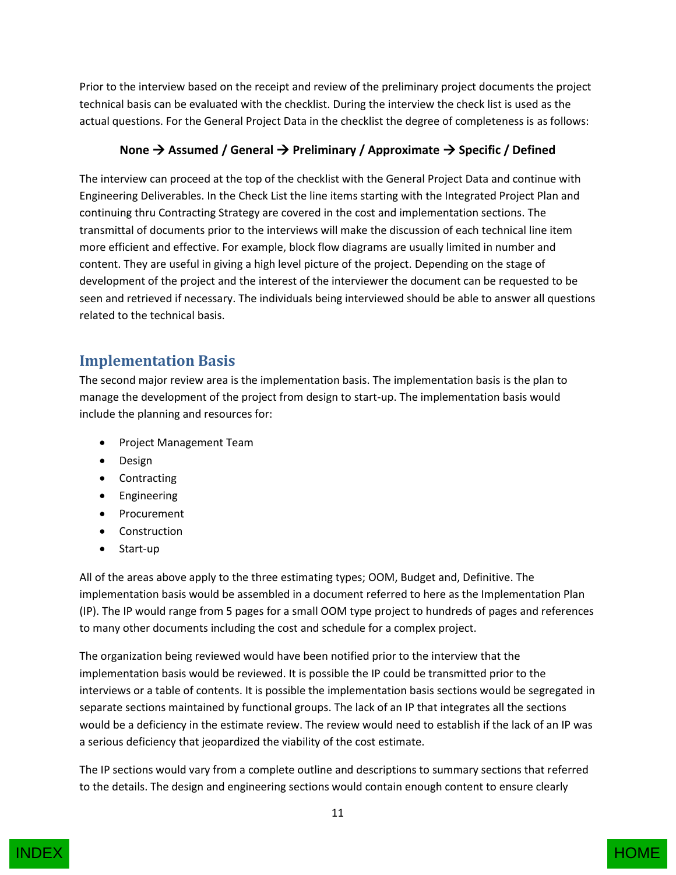Prior to the interview based on the receipt and review of the preliminary project documents the project technical basis can be evaluated with the checklist. During the interview the check list is used as the actual questions. For the General Project Data in the checklist the degree of completeness is as follows:

#### **None → Assumed / General → Preliminary / Approximate → Specific / Defined**

The interview can proceed at the top of the checklist with the General Project Data and continue with Engineering Deliverables. In the Check List the line items starting with the Integrated Project Plan and continuing thru Contracting Strategy are covered in the cost and implementation sections. The transmittal of documents prior to the interviews will make the discussion of each technical line item more efficient and effective. For example, block flow diagrams are usually limited in number and content. They are useful in giving a high level picture of the project. Depending on the stage of development of the project and the interest of the interviewer the document can be requested to be seen and retrieved if necessary. The individuals being interviewed should be able to answer all questions related to the technical basis.

#### <span id="page-10-0"></span>**Implementation Basis**

The second major review area is the implementation basis. The implementation basis is the plan to manage the development of the project from design to start-up. The implementation basis would include the planning and resources for:

- Project Management Team
- Design
- Contracting
- **•** Engineering
- Procurement
- Construction
- Start-up

All of the areas above apply to the three estimating types; OOM, Budget and, Definitive. The implementation basis would be assembled in a document referred to here as the Implementation Plan (IP). The IP would range from 5 pages for a small OOM type project to hundreds of pages and references to many other documents including the cost and schedule for a complex project.

The organization being reviewed would have been notified prior to the interview that the implementation basis would be reviewed. It is possible the IP could be transmitted prior to the interviews or a table of contents. It is possible the implementation basis sections would be segregated in separate sections maintained by functional groups. The lack of an IP that integrates all the sections would be a deficiency in the estimate review. The review would need to establish if the lack of an IP was a serious deficiency that jeopardized the viability of the cost estimate.

The IP sections would vary from a complete outline and descriptions to summary sections that referred to the details. The design and engineering sections would contain enough content to ensure clearly

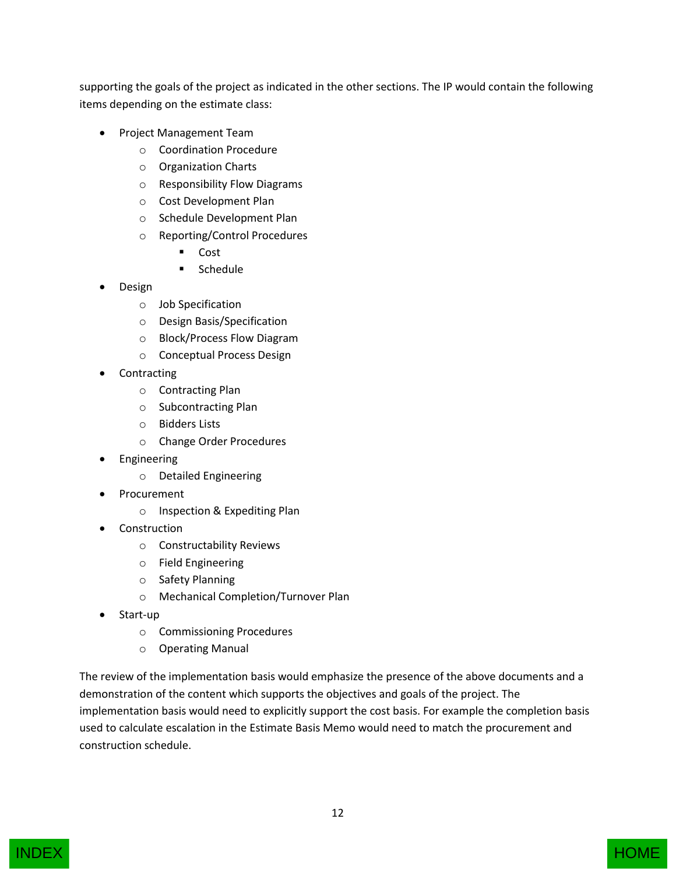supporting the goals of the project as indicated in the other sections. The IP would contain the following items depending on the estimate class:

- Project Management Team
	- o Coordination Procedure
	- o Organization Charts
	- o Responsibility Flow Diagrams
	- o Cost Development Plan
	- o Schedule Development Plan
	- o Reporting/Control Procedures
		- Cost
		- **Schedule**
- Design
	- o Job Specification
	- o Design Basis/Specification
	- o Block/Process Flow Diagram
	- o Conceptual Process Design
- **Contracting** 
	- o Contracting Plan
	- o Subcontracting Plan
	- o Bidders Lists
	- o Change Order Procedures
- Engineering
	- o Detailed Engineering
- Procurement
	- o Inspection & Expediting Plan
- Construction
	- o Constructability Reviews
	- o Field Engineering
	- o Safety Planning
	- o Mechanical Completion/Turnover Plan
- Start-up
	- o Commissioning Procedures
	- o Operating Manual

The review of the implementation basis would emphasize the presence of the above documents and a demonstration of the content which supports the objectives and goals of the project. The implementation basis would need to explicitly support the cost basis. For example the completion basis used to calculate escalation in the Estimate Basis Memo would need to match the procurement and construction schedule.



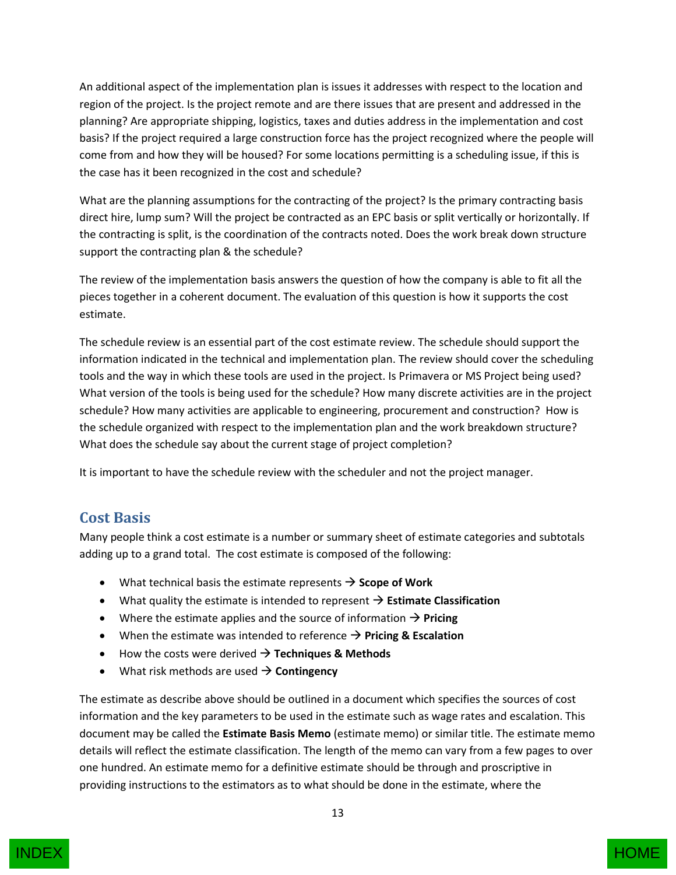An additional aspect of the implementation plan is issues it addresses with respect to the location and region of the project. Is the project remote and are there issues that are present and addressed in the planning? Are appropriate shipping, logistics, taxes and duties address in the implementation and cost basis? If the project required a large construction force has the project recognized where the people will come from and how they will be housed? For some locations permitting is a scheduling issue, if this is the case has it been recognized in the cost and schedule?

What are the planning assumptions for the contracting of the project? Is the primary contracting basis direct hire, lump sum? Will the project be contracted as an EPC basis or split vertically or horizontally. If the contracting is split, is the coordination of the contracts noted. Does the work break down structure support the contracting plan & the schedule?

The review of the implementation basis answers the question of how the company is able to fit all the pieces together in a coherent document. The evaluation of this question is how it supports the cost estimate.

The schedule review is an essential part of the cost estimate review. The schedule should support the information indicated in the technical and implementation plan. The review should cover the scheduling tools and the way in which these tools are used in the project. Is Primavera or MS Project being used? What version of the tools is being used for the schedule? How many discrete activities are in the project schedule? How many activities are applicable to engineering, procurement and construction? How is the schedule organized with respect to the implementation plan and the work breakdown structure? What does the schedule say about the current stage of project completion?

It is important to have the schedule review with the scheduler and not the project manager.

#### <span id="page-12-0"></span>**Cost Basis**

Many people think a cost estimate is a number or summary sheet of estimate categories and subtotals adding up to a grand total. The cost estimate is composed of the following:

- $\bullet$  What technical basis the estimate represents  $\rightarrow$  Scope of Work
- $\bullet$  What quality the estimate is intended to represent  $\rightarrow$  **Estimate Classification**
- Where the estimate applies and the source of information  $\rightarrow$  **Pricing**
- When the estimate was intended to reference  $\rightarrow$  **Pricing & Escalation**
- $\bullet$  How the costs were derived  $\rightarrow$  **Techniques & Methods**
- $\bullet$  What risk methods are used  $\rightarrow$  **Contingency**

The estimate as describe above should be outlined in a document which specifies the sources of cost information and the key parameters to be used in the estimate such as wage rates and escalation. This document may be called the **Estimate Basis Memo** (estimate memo) or similar title. The estimate memo details will reflect the estimate classification. The length of the memo can vary from a few pages to over one hundred. An estimate memo for a definitive estimate should be through and proscriptive in providing instructions to the estimators as to what should be done in the estimate, where the



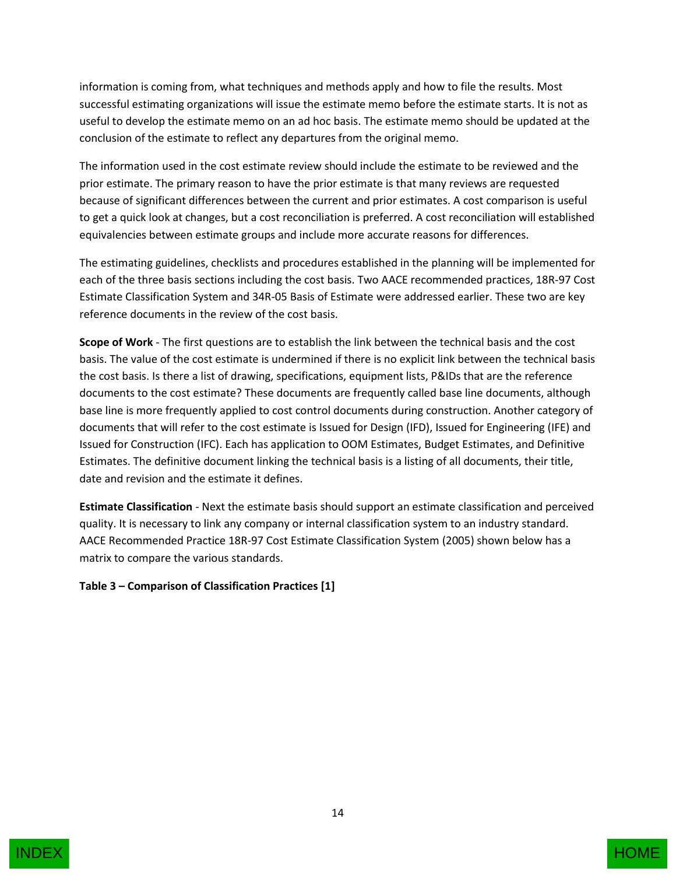information is coming from, what techniques and methods apply and how to file the results. Most successful estimating organizations will issue the estimate memo before the estimate starts. It is not as useful to develop the estimate memo on an ad hoc basis. The estimate memo should be updated at the conclusion of the estimate to reflect any departures from the original memo.

The information used in the cost estimate review should include the estimate to be reviewed and the prior estimate. The primary reason to have the prior estimate is that many reviews are requested because of significant differences between the current and prior estimates. A cost comparison is useful to get a quick look at changes, but a cost reconciliation is preferred. A cost reconciliation will established equivalencies between estimate groups and include more accurate reasons for differences.

The estimating guidelines, checklists and procedures established in the planning will be implemented for each of the three basis sections including the cost basis. Two AACE recommended practices, 18R-97 Cost Estimate Classification System and 34R-05 Basis of Estimate were addressed earlier. These two are key reference documents in the review of the cost basis.

**Scope of Work** - The first questions are to establish the link between the technical basis and the cost basis. The value of the cost estimate is undermined if there is no explicit link between the technical basis the cost basis. Is there a list of drawing, specifications, equipment lists, P&IDs that are the reference documents to the cost estimate? These documents are frequently called base line documents, although base line is more frequently applied to cost control documents during construction. Another category of documents that will refer to the cost estimate is Issued for Design (IFD), Issued for Engineering (IFE) and Issued for Construction (IFC). Each has application to OOM Estimates, Budget Estimates, and Definitive Estimates. The definitive document linking the technical basis is a listing of all documents, their title, date and revision and the estimate it defines.

**Estimate Classification** - Next the estimate basis should support an estimate classification and perceived quality. It is necessary to link any company or internal classification system to an industry standard. AACE Recommended Practice 18R-97 Cost Estimate Classification System (2005) shown below has a matrix to compare the various standards.

#### **Table 3 – Comparison of Classification Practices [1]**

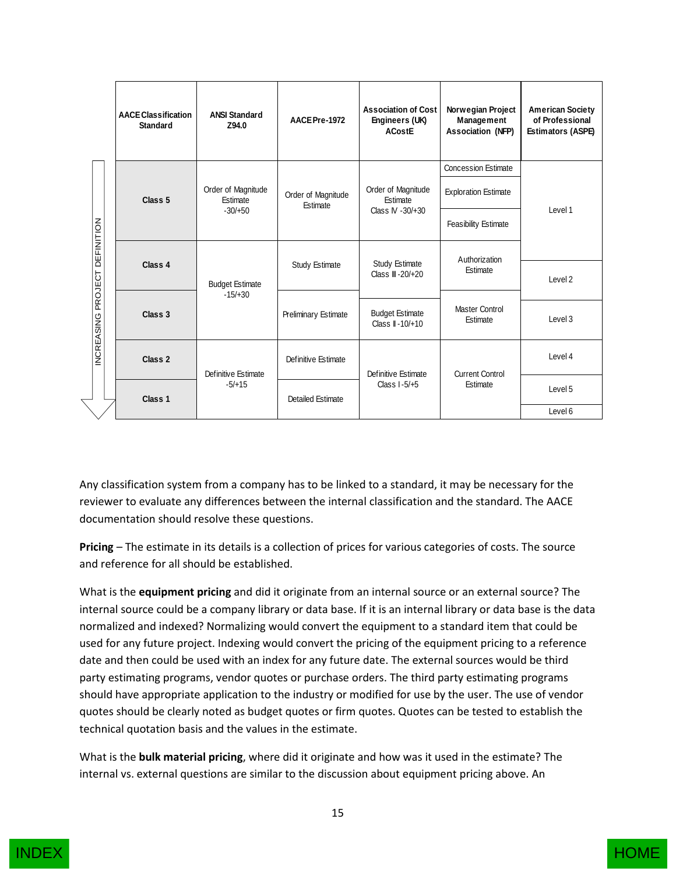|                                            | <b>AACE Classification</b><br><b>Standard</b> | <b>ANSI Standard</b><br>Z94.0               | AACE Pre-1972                         | <b>Association of Cost</b><br>Engineers (UK)<br><b>ACostE</b> | Norwegian Project<br>Management<br><b>Association (NFP)</b> | <b>American Society</b><br>of Professional<br>Estimators (ASPE) |
|--------------------------------------------|-----------------------------------------------|---------------------------------------------|---------------------------------------|---------------------------------------------------------------|-------------------------------------------------------------|-----------------------------------------------------------------|
|                                            |                                               |                                             |                                       |                                                               | <b>Concession Estimate</b>                                  |                                                                 |
| DEFINITION<br>PROJECT<br><b>INCREASING</b> | Class <sub>5</sub>                            | Order of Magnitude<br>Estimate<br>$-30/+50$ | Order of Magnitude<br><b>Fstimate</b> | Order of Magnitude<br>Estimate<br>Class IV - 30/+30           | <b>Exploration Estimate</b>                                 | Level 1                                                         |
|                                            |                                               |                                             |                                       |                                                               | Feasibility Estimate                                        |                                                                 |
|                                            | Class 4                                       | <b>Budget Estimate</b><br>$-15/ + 30$       | Study Estimate                        | Study Estimate<br>Class III-20/+20                            | Authorization<br>Estimate                                   | Level 2                                                         |
|                                            |                                               |                                             | <b>Preliminary Estimate</b>           |                                                               |                                                             |                                                                 |
|                                            | Class 3                                       |                                             |                                       | <b>Budget Estimate</b><br>Class II-10/+10                     | Master Control<br>Estimate                                  | Level 3                                                         |
|                                            | Class 2                                       | Definitive Estimate<br>$-5/+15$             | Definitive Estimate                   | Definitive Estimate<br>Class $1-5/+5$                         | <b>Current Control</b><br>Estimate                          | Level 4                                                         |
|                                            | Class 1                                       |                                             | <b>Detailed Estimate</b>              |                                                               |                                                             | Level 5                                                         |
|                                            |                                               |                                             |                                       |                                                               |                                                             | Level 6                                                         |

Any classification system from a company has to be linked to a standard, it may be necessary for the reviewer to evaluate any differences between the internal classification and the standard. The AACE documentation should resolve these questions.

**Pricing** – The estimate in its details is a collection of prices for various categories of costs. The source and reference for all should be established.

What is the **equipment pricing** and did it originate from an internal source or an external source? The internal source could be a company library or data base. If it is an internal library or data base is the data normalized and indexed? Normalizing would convert the equipment to a standard item that could be used for any future project. Indexing would convert the pricing of the equipment pricing to a reference date and then could be used with an index for any future date. The external sources would be third party estimating programs, vendor quotes or purchase orders. The third party estimating programs should have appropriate application to the industry or modified for use by the user. The use of vendor quotes should be clearly noted as budget quotes or firm quotes. Quotes can be tested to establish the technical quotation basis and the values in the estimate.

What is the **bulk material pricing**, where did it originate and how was it used in the estimate? The internal vs. external questions are similar to the discussion about equipment pricing above. An

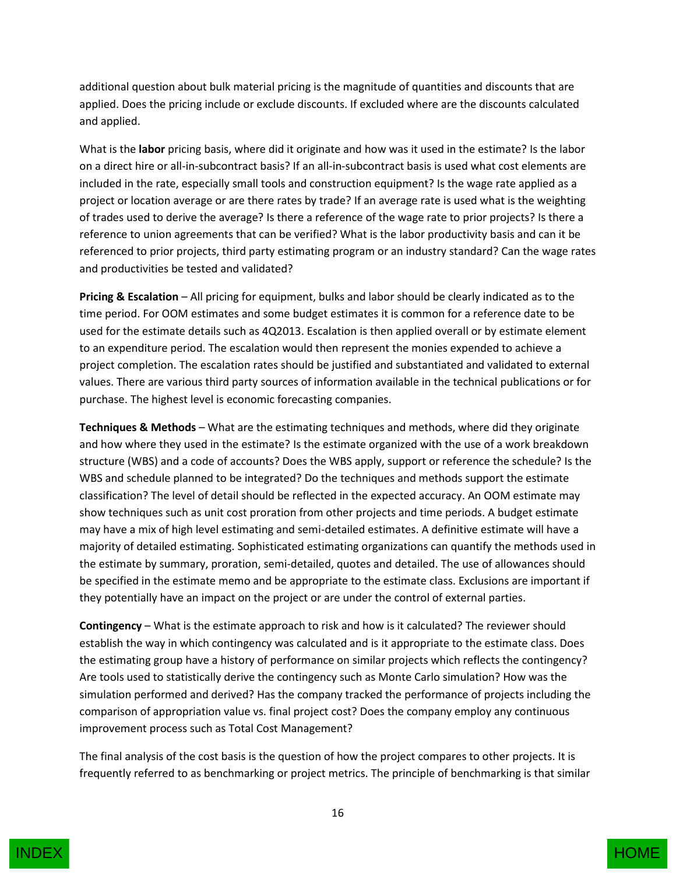additional question about bulk material pricing is the magnitude of quantities and discounts that are applied. Does the pricing include or exclude discounts. If excluded where are the discounts calculated and applied.

What is the **labor** pricing basis, where did it originate and how was it used in the estimate? Is the labor on a direct hire or all-in-subcontract basis? If an all-in-subcontract basis is used what cost elements are included in the rate, especially small tools and construction equipment? Is the wage rate applied as a project or location average or are there rates by trade? If an average rate is used what is the weighting of trades used to derive the average? Is there a reference of the wage rate to prior projects? Is there a reference to union agreements that can be verified? What is the labor productivity basis and can it be referenced to prior projects, third party estimating program or an industry standard? Can the wage rates and productivities be tested and validated?

**Pricing & Escalation** – All pricing for equipment, bulks and labor should be clearly indicated as to the time period. For OOM estimates and some budget estimates it is common for a reference date to be used for the estimate details such as 4Q2013. Escalation is then applied overall or by estimate element to an expenditure period. The escalation would then represent the monies expended to achieve a project completion. The escalation rates should be justified and substantiated and validated to external values. There are various third party sources of information available in the technical publications or for purchase. The highest level is economic forecasting companies.

**Techniques & Methods** – What are the estimating techniques and methods, where did they originate and how where they used in the estimate? Is the estimate organized with the use of a work breakdown structure (WBS) and a code of accounts? Does the WBS apply, support or reference the schedule? Is the WBS and schedule planned to be integrated? Do the techniques and methods support the estimate classification? The level of detail should be reflected in the expected accuracy. An OOM estimate may show techniques such as unit cost proration from other projects and time periods. A budget estimate may have a mix of high level estimating and semi-detailed estimates. A definitive estimate will have a majority of detailed estimating. Sophisticated estimating organizations can quantify the methods used in the estimate by summary, proration, semi-detailed, quotes and detailed. The use of allowances should be specified in the estimate memo and be appropriate to the estimate class. Exclusions are important if they potentially have an impact on the project or are under the control of external parties.

**Contingency** – What is the estimate approach to risk and how is it calculated? The reviewer should establish the way in which contingency was calculated and is it appropriate to the estimate class. Does the estimating group have a history of performance on similar projects which reflects the contingency? Are tools used to statistically derive the contingency such as Monte Carlo simulation? How was the simulation performed and derived? Has the company tracked the performance of projects including the comparison of appropriation value vs. final project cost? Does the company employ any continuous improvement process such as Total Cost Management?

The final analysis of the cost basis is the question of how the project compares to other projects. It is frequently referred to as benchmarking or project metrics. The principle of benchmarking is that similar

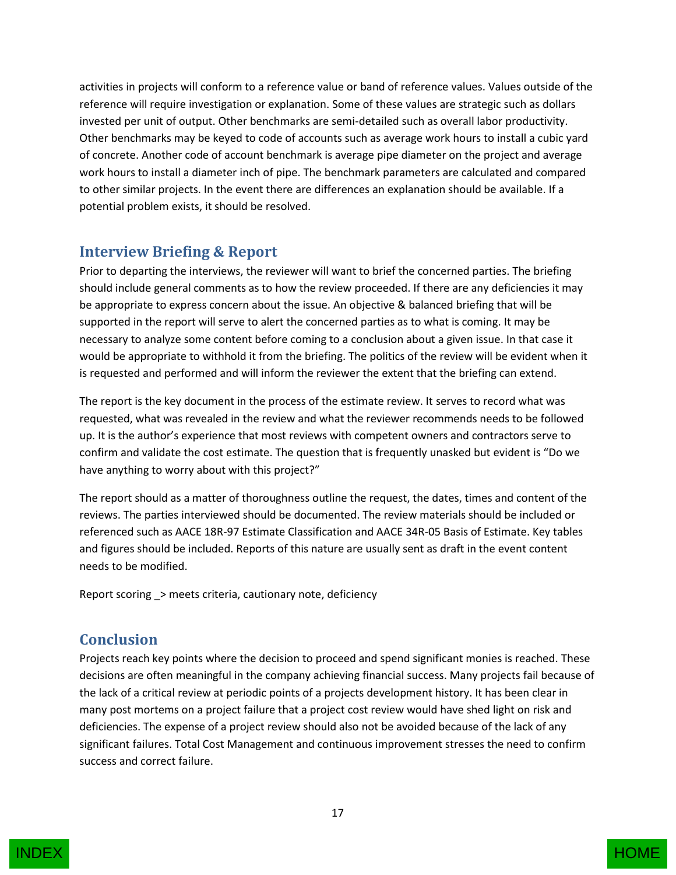activities in projects will conform to a reference value or band of reference values. Values outside of the reference will require investigation or explanation. Some of these values are strategic such as dollars invested per unit of output. Other benchmarks are semi-detailed such as overall labor productivity. Other benchmarks may be keyed to code of accounts such as average work hours to install a cubic yard of concrete. Another code of account benchmark is average pipe diameter on the project and average work hours to install a diameter inch of pipe. The benchmark parameters are calculated and compared to other similar projects. In the event there are differences an explanation should be available. If a potential problem exists, it should be resolved.

#### <span id="page-16-0"></span>**Interview Briefing & Report**

Prior to departing the interviews, the reviewer will want to brief the concerned parties. The briefing should include general comments as to how the review proceeded. If there are any deficiencies it may be appropriate to express concern about the issue. An objective & balanced briefing that will be supported in the report will serve to alert the concerned parties as to what is coming. It may be necessary to analyze some content before coming to a conclusion about a given issue. In that case it would be appropriate to withhold it from the briefing. The politics of the review will be evident when it is requested and performed and will inform the reviewer the extent that the briefing can extend.

The report is the key document in the process of the estimate review. It serves to record what was requested, what was revealed in the review and what the reviewer recommends needs to be followed up. It is the author's experience that most reviews with competent owners and contractors serve to confirm and validate the cost estimate. The question that is frequently unasked but evident is "Do we have anything to worry about with this project?"

The report should as a matter of thoroughness outline the request, the dates, times and content of the reviews. The parties interviewed should be documented. The review materials should be included or referenced such as AACE 18R-97 Estimate Classification and AACE 34R-05 Basis of Estimate. Key tables and figures should be included. Reports of this nature are usually sent as draft in the event content needs to be modified.

Report scoring \_> meets criteria, cautionary note, deficiency

#### <span id="page-16-1"></span>**Conclusion**

Projects reach key points where the decision to proceed and spend significant monies is reached. These decisions are often meaningful in the company achieving financial success. Many projects fail because of the lack of a critical review at periodic points of a projects development history. It has been clear in many post mortems on a project failure that a project cost review would have shed light on risk and deficiencies. The expense of a project review should also not be avoided because of the lack of any significant failures. Total Cost Management and continuous improvement stresses the need to confirm success and correct failure.